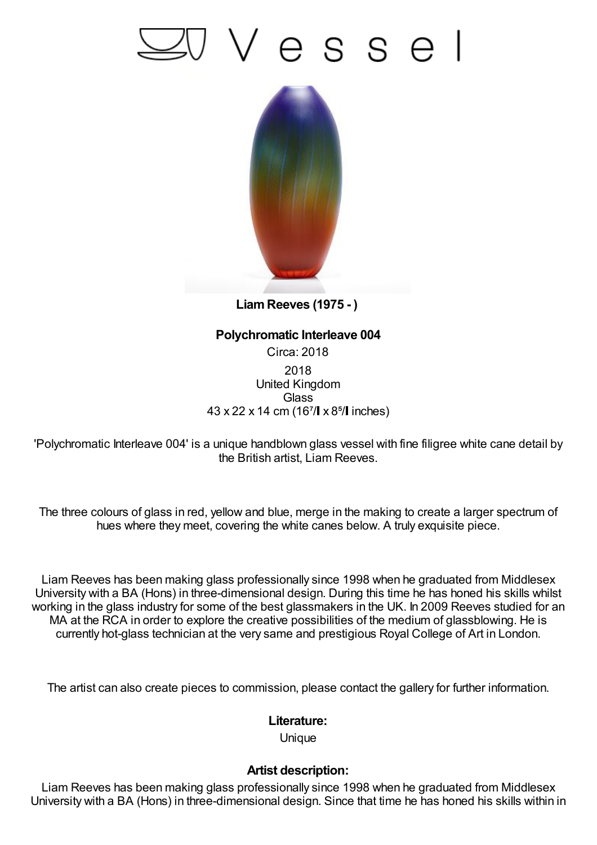## Vesse



**LiamReeves (1975 - )**

## **Polychromatic Interleave 004** Circa: 2018 2018 United Kingdom **Glass** 43 x 22 x 14 cm (167/ x 8<sup>5</sup>/ linches)

'Polychromatic Interleave 004' is a unique handblown glass vessel with fine filigree white cane detail by the British artist, Liam Reeves.

The three colours of glass in red, yellow and blue, merge in the making to create a larger spectrum of hues where they meet, covering the white canes below. A truly exquisite piece.

Liam Reeves has been making glass professionally since 1998 when he graduated from Middlesex University with a BA (Hons) in three-dimensional design. During this time he has honed his skills whilst working in the glass industry for some of the best glassmakers in the UK. In 2009 Reeves studied for an MA at the RCA in order to explore the creative possibilities of the medium of glassblowing. He is currently hot-glass technician at the very same and prestigious Royal College of Art in London.

The artist can also create pieces to commission, please contact the gallery for further information.

## **Literature:**

**Unique** 

## **Artist description:**

Liam Reeves has been making glass professionally since 1998 when he graduated from Middlesex University with a BA (Hons) in three-dimensional design. Since that time he has honed his skills within in